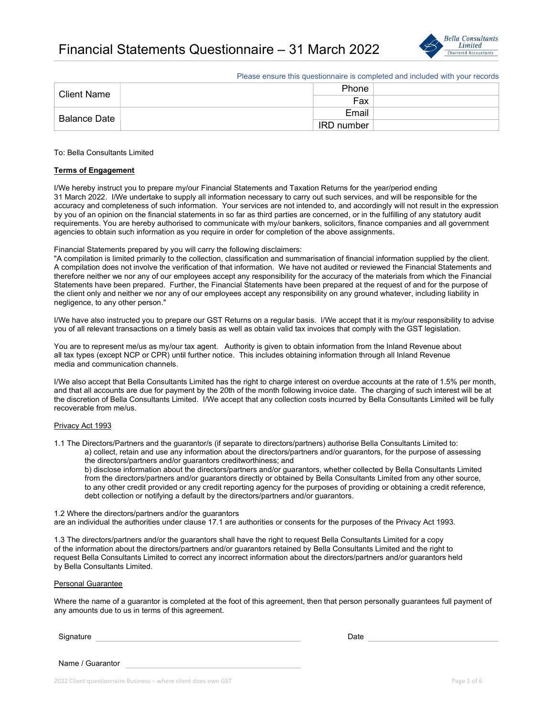

Please ensure this questionnaire is completed and included with your records

| <b>Client Name</b> | Phone             |  |
|--------------------|-------------------|--|
|                    | Fax               |  |
| Balance Date       | Email             |  |
|                    | <b>IRD</b> number |  |

#### To: Bella Consultants Limited

#### Terms of Engagement

I/We hereby instruct you to prepare my/our Financial Statements and Taxation Returns for the year/period ending 31 March 2022. I/We undertake to supply all information necessary to carry out such services, and will be responsible for the accuracy and completeness of such information. Your services are not intended to, and accordingly will not result in the expression by you of an opinion on the financial statements in so far as third parties are concerned, or in the fulfilling of any statutory audit requirements. You are hereby authorised to communicate with my/our bankers, solicitors, finance companies and all government agencies to obtain such information as you require in order for completion of the above assignments.

### Financial Statements prepared by you will carry the following disclaimers:

"A compilation is limited primarily to the collection, classification and summarisation of financial information supplied by the client. A compilation does not involve the verification of that information. We have not audited or reviewed the Financial Statements and therefore neither we nor any of our employees accept any responsibility for the accuracy of the materials from which the Financial Statements have been prepared. Further, the Financial Statements have been prepared at the request of and for the purpose of the client only and neither we nor any of our employees accept any responsibility on any ground whatever, including liability in negligence, to any other person."

I/We have also instructed you to prepare our GST Returns on a regular basis. I/We accept that it is my/our responsibility to advise you of all relevant transactions on a timely basis as well as obtain valid tax invoices that comply with the GST legislation.

You are to represent me/us as my/our tax agent. Authority is given to obtain information from the Inland Revenue about all tax types (except NCP or CPR) until further notice. This includes obtaining information through all Inland Revenue media and communication channels.

I/We also accept that Bella Consultants Limited has the right to charge interest on overdue accounts at the rate of 1.5% per month, and that all accounts are due for payment by the 20th of the month following invoice date. The charging of such interest will be at the discretion of Bella Consultants Limited. I/We accept that any collection costs incurred by Bella Consultants Limited will be fully recoverable from me/us.

#### Privacy Act 1993

1.1 The Directors/Partners and the guarantor/s (if separate to directors/partners) authorise Bella Consultants Limited to: a) collect, retain and use any information about the directors/partners and/or guarantors, for the purpose of assessing the directors/partners and/or guarantors creditworthiness; and

 b) disclose information about the directors/partners and/or guarantors, whether collected by Bella Consultants Limited from the directors/partners and/or guarantors directly or obtained by Bella Consultants Limited from any other source, to any other credit provided or any credit reporting agency for the purposes of providing or obtaining a credit reference, debt collection or notifying a default by the directors/partners and/or guarantors.

#### 1.2 Where the directors/partners and/or the guarantors

are an individual the authorities under clause 17.1 are authorities or consents for the purposes of the Privacy Act 1993.

1.3 The directors/partners and/or the guarantors shall have the right to request Bella Consultants Limited for a copy of the information about the directors/partners and/or guarantors retained by Bella Consultants Limited and the right to request Bella Consultants Limited to correct any incorrect information about the directors/partners and/or guarantors held by Bella Consultants Limited.

#### Personal Guarantee

Where the name of a guarantor is completed at the foot of this agreement, then that person personally guarantees full payment of any amounts due to us in terms of this agreement.

| Signature | Date |
|-----------|------|
|           |      |

Name / Guarantor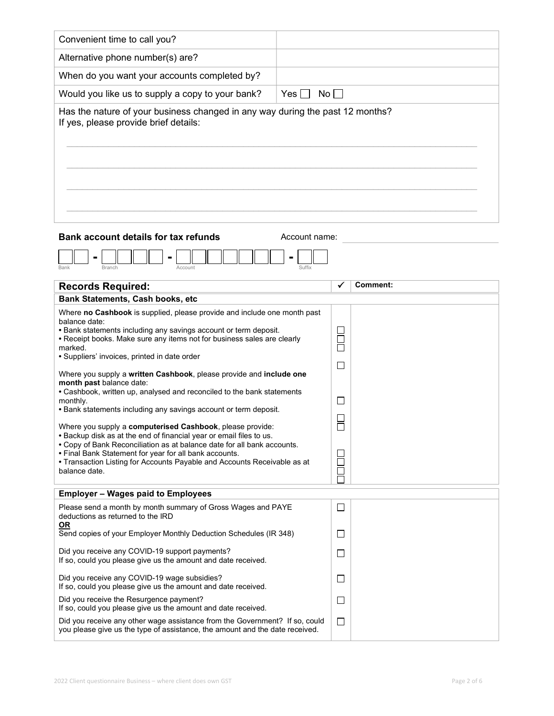| Convenient time to call you?                                                                                                                                                                                                                                                                                                                                                                                                                                                                                                                                                                                                                                                                                                                                                                                                                                                                                                                                               |                                                             |  |  |  |
|----------------------------------------------------------------------------------------------------------------------------------------------------------------------------------------------------------------------------------------------------------------------------------------------------------------------------------------------------------------------------------------------------------------------------------------------------------------------------------------------------------------------------------------------------------------------------------------------------------------------------------------------------------------------------------------------------------------------------------------------------------------------------------------------------------------------------------------------------------------------------------------------------------------------------------------------------------------------------|-------------------------------------------------------------|--|--|--|
| Alternative phone number(s) are?                                                                                                                                                                                                                                                                                                                                                                                                                                                                                                                                                                                                                                                                                                                                                                                                                                                                                                                                           |                                                             |  |  |  |
| When do you want your accounts completed by?                                                                                                                                                                                                                                                                                                                                                                                                                                                                                                                                                                                                                                                                                                                                                                                                                                                                                                                               |                                                             |  |  |  |
| Would you like us to supply a copy to your bank?                                                                                                                                                                                                                                                                                                                                                                                                                                                                                                                                                                                                                                                                                                                                                                                                                                                                                                                           | Yes  <br>Nol                                                |  |  |  |
| Has the nature of your business changed in any way during the past 12 months?<br>If yes, please provide brief details:                                                                                                                                                                                                                                                                                                                                                                                                                                                                                                                                                                                                                                                                                                                                                                                                                                                     |                                                             |  |  |  |
| <b>Bank account details for tax refunds</b><br>Account name:<br>Bank<br>Branch<br>Account<br>Suffix                                                                                                                                                                                                                                                                                                                                                                                                                                                                                                                                                                                                                                                                                                                                                                                                                                                                        |                                                             |  |  |  |
| <b>Records Required:</b>                                                                                                                                                                                                                                                                                                                                                                                                                                                                                                                                                                                                                                                                                                                                                                                                                                                                                                                                                   | <b>Comment:</b>                                             |  |  |  |
| Bank Statements, Cash books, etc<br>Where no Cashbook is supplied, please provide and include one month past<br>balance date:<br>• Bank statements including any savings account or term deposit.<br>• Receipt books. Make sure any items not for business sales are clearly<br>marked.<br>• Suppliers' invoices, printed in date order<br>Where you supply a written Cashbook, please provide and include one<br>month past balance date:<br>• Cashbook, written up, analysed and reconciled to the bank statements<br>monthly.<br>• Bank statements including any savings account or term deposit.<br>Where you supply a computerised Cashbook, please provide:<br>. Backup disk as at the end of financial year or email files to us.<br>• Copy of Bank Reconciliation as at balance date for all bank accounts.<br>. Final Bank Statement for year for all bank accounts.<br>• Transaction Listing for Accounts Payable and Accounts Receivable as at<br>balance date. | $\Box$<br>П<br>□<br>$\Box$<br>Ō<br>$\overline{\phantom{0}}$ |  |  |  |
| <b>Employer - Wages paid to Employees</b>                                                                                                                                                                                                                                                                                                                                                                                                                                                                                                                                                                                                                                                                                                                                                                                                                                                                                                                                  |                                                             |  |  |  |
| Please send a month by month summary of Gross Wages and PAYE<br>deductions as returned to the IRD<br><b>OR</b>                                                                                                                                                                                                                                                                                                                                                                                                                                                                                                                                                                                                                                                                                                                                                                                                                                                             | ⊔                                                           |  |  |  |
| Send copies of your Employer Monthly Deduction Schedules (IR 348)                                                                                                                                                                                                                                                                                                                                                                                                                                                                                                                                                                                                                                                                                                                                                                                                                                                                                                          | $\Box$                                                      |  |  |  |
| Did you receive any COVID-19 support payments?<br>If so, could you please give us the amount and date received.                                                                                                                                                                                                                                                                                                                                                                                                                                                                                                                                                                                                                                                                                                                                                                                                                                                            | $\Box$                                                      |  |  |  |
| Did you receive any COVID-19 wage subsidies?<br>If so, could you please give us the amount and date received.                                                                                                                                                                                                                                                                                                                                                                                                                                                                                                                                                                                                                                                                                                                                                                                                                                                              | $\Box$                                                      |  |  |  |
| Did you receive the Resurgence payment?<br>If so, could you please give us the amount and date received.                                                                                                                                                                                                                                                                                                                                                                                                                                                                                                                                                                                                                                                                                                                                                                                                                                                                   | $\Box$                                                      |  |  |  |
| Did you receive any other wage assistance from the Government? If so, could<br>you please give us the type of assistance, the amount and the date received.                                                                                                                                                                                                                                                                                                                                                                                                                                                                                                                                                                                                                                                                                                                                                                                                                | $\Box$                                                      |  |  |  |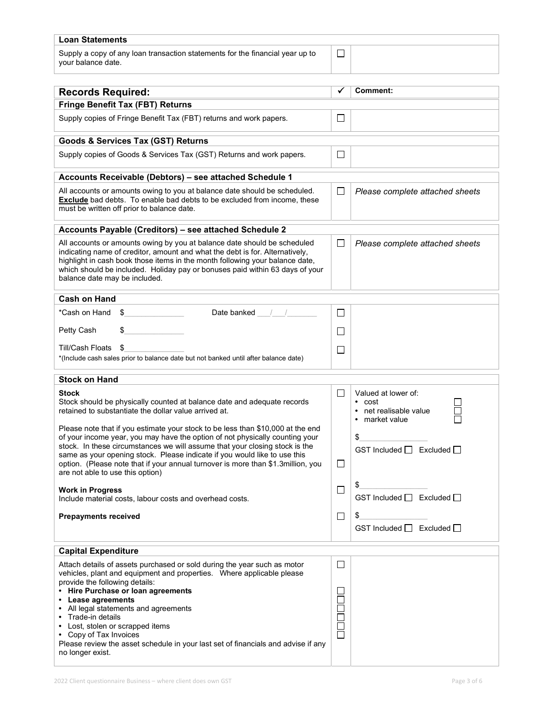| <b>Loan Statements</b>                                                                                                                                                                                                                                                                                                                                    |                |                                                                       |  |  |  |
|-----------------------------------------------------------------------------------------------------------------------------------------------------------------------------------------------------------------------------------------------------------------------------------------------------------------------------------------------------------|----------------|-----------------------------------------------------------------------|--|--|--|
| Supply a copy of any loan transaction statements for the financial year up to<br>vour balance date.                                                                                                                                                                                                                                                       | $\mathsf{L}$   |                                                                       |  |  |  |
|                                                                                                                                                                                                                                                                                                                                                           | $\checkmark$   | Comment:                                                              |  |  |  |
| <b>Records Required:</b>                                                                                                                                                                                                                                                                                                                                  |                |                                                                       |  |  |  |
| <b>Fringe Benefit Tax (FBT) Returns</b>                                                                                                                                                                                                                                                                                                                   |                |                                                                       |  |  |  |
| Supply copies of Fringe Benefit Tax (FBT) returns and work papers.                                                                                                                                                                                                                                                                                        | $\Box$         |                                                                       |  |  |  |
| <b>Goods &amp; Services Tax (GST) Returns</b>                                                                                                                                                                                                                                                                                                             |                |                                                                       |  |  |  |
| Supply copies of Goods & Services Tax (GST) Returns and work papers.                                                                                                                                                                                                                                                                                      | $\mathbf{L}$   |                                                                       |  |  |  |
| Accounts Receivable (Debtors) - see attached Schedule 1                                                                                                                                                                                                                                                                                                   |                |                                                                       |  |  |  |
| All accounts or amounts owing to you at balance date should be scheduled.<br><b>Exclude</b> bad debts. To enable bad debts to be excluded from income, these<br>must be written off prior to balance date.                                                                                                                                                | $\Box$         | Please complete attached sheets                                       |  |  |  |
| Accounts Payable (Creditors) - see attached Schedule 2                                                                                                                                                                                                                                                                                                    |                |                                                                       |  |  |  |
| All accounts or amounts owing by you at balance date should be scheduled<br>indicating name of creditor, amount and what the debt is for. Alternatively,<br>highlight in cash book those items in the month following your balance date,<br>which should be included. Holiday pay or bonuses paid within 63 days of your<br>balance date may be included. | $\Box$         | Please complete attached sheets                                       |  |  |  |
| <b>Cash on Hand</b>                                                                                                                                                                                                                                                                                                                                       |                |                                                                       |  |  |  |
| Date banked / /<br>*Cash on Hand<br>\$                                                                                                                                                                                                                                                                                                                    | ⊔              |                                                                       |  |  |  |
| Petty Cash<br>\$                                                                                                                                                                                                                                                                                                                                          | $\mathsf{L}$   |                                                                       |  |  |  |
| - \$<br>Till/Cash Floats                                                                                                                                                                                                                                                                                                                                  | $\blacksquare$ |                                                                       |  |  |  |
| *(Include cash sales prior to balance date but not banked until after balance date)                                                                                                                                                                                                                                                                       |                |                                                                       |  |  |  |
| <b>Stock on Hand</b>                                                                                                                                                                                                                                                                                                                                      |                |                                                                       |  |  |  |
|                                                                                                                                                                                                                                                                                                                                                           |                |                                                                       |  |  |  |
| Stock<br>Stock should be physically counted at balance date and adequate records<br>retained to substantiate the dollar value arrived at.<br>Please note that if you estimate your stock to be less than \$10,000 at the end                                                                                                                              | $\Box$         | Valued at lower of:<br>• cost<br>net realisable value<br>market value |  |  |  |
| of your income year, you may have the option of not physically counting your                                                                                                                                                                                                                                                                              |                | \$                                                                    |  |  |  |
| stock. In these circumstances we will assume that your closing stock is the<br>same as your opening stock. Please indicate if you would like to use this                                                                                                                                                                                                  |                | GST Included $\Box$ Excluded $\Box$                                   |  |  |  |
| option. (Please note that if your annual turnover is more than \$1.3million, you<br>are not able to use this option)                                                                                                                                                                                                                                      | $\Box$         |                                                                       |  |  |  |
|                                                                                                                                                                                                                                                                                                                                                           | □              | \$                                                                    |  |  |  |
| <b>Work in Progress</b><br>Include material costs, labour costs and overhead costs.                                                                                                                                                                                                                                                                       |                | GST Included □ Excluded □                                             |  |  |  |
| <b>Prepayments received</b>                                                                                                                                                                                                                                                                                                                               | $\Box$         | \$                                                                    |  |  |  |
|                                                                                                                                                                                                                                                                                                                                                           |                | GST Included $\Box$ Excluded $\Box$                                   |  |  |  |
| <b>Capital Expenditure</b>                                                                                                                                                                                                                                                                                                                                |                |                                                                       |  |  |  |
| Attach details of assets purchased or sold during the year such as motor                                                                                                                                                                                                                                                                                  | ⊔              |                                                                       |  |  |  |
| vehicles, plant and equipment and properties.  Where applicable please                                                                                                                                                                                                                                                                                    |                |                                                                       |  |  |  |
| provide the following details:<br>• Hire Purchase or loan agreements                                                                                                                                                                                                                                                                                      | $\Box$         |                                                                       |  |  |  |
| • Lease agreements                                                                                                                                                                                                                                                                                                                                        | $\Box$         |                                                                       |  |  |  |
| • All legal statements and agreements                                                                                                                                                                                                                                                                                                                     |                |                                                                       |  |  |  |
| • Trade-in details                                                                                                                                                                                                                                                                                                                                        | 0000<br>0000   |                                                                       |  |  |  |
| Lost, stolen or scrapped items<br>• Copy of Tax Invoices                                                                                                                                                                                                                                                                                                  |                |                                                                       |  |  |  |
| Please review the asset schedule in your last set of financials and advise if any                                                                                                                                                                                                                                                                         |                |                                                                       |  |  |  |
| no longer exist.                                                                                                                                                                                                                                                                                                                                          |                |                                                                       |  |  |  |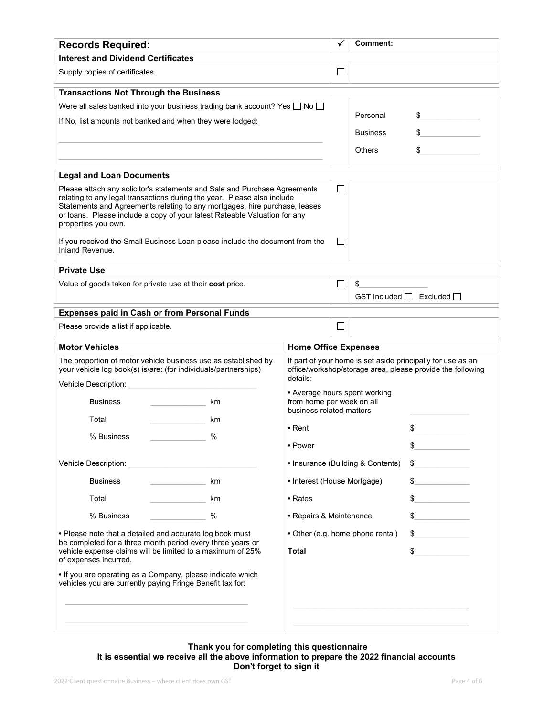|                                                                                                                                                                                                                                                                                                                                                                           | $\Box$ |                                                                                                                           |                                                                                                         |  |  |
|---------------------------------------------------------------------------------------------------------------------------------------------------------------------------------------------------------------------------------------------------------------------------------------------------------------------------------------------------------------------------|--------|---------------------------------------------------------------------------------------------------------------------------|---------------------------------------------------------------------------------------------------------|--|--|
|                                                                                                                                                                                                                                                                                                                                                                           |        |                                                                                                                           |                                                                                                         |  |  |
|                                                                                                                                                                                                                                                                                                                                                                           |        |                                                                                                                           |                                                                                                         |  |  |
|                                                                                                                                                                                                                                                                                                                                                                           |        |                                                                                                                           |                                                                                                         |  |  |
| Were all sales banked into your business trading bank account? Yes $\Box$ No $\Box$                                                                                                                                                                                                                                                                                       |        |                                                                                                                           |                                                                                                         |  |  |
| If No, list amounts not banked and when they were lodged:                                                                                                                                                                                                                                                                                                                 |        |                                                                                                                           | \$                                                                                                      |  |  |
|                                                                                                                                                                                                                                                                                                                                                                           |        | <b>Business</b>                                                                                                           |                                                                                                         |  |  |
|                                                                                                                                                                                                                                                                                                                                                                           |        | <b>Others</b>                                                                                                             | \$                                                                                                      |  |  |
|                                                                                                                                                                                                                                                                                                                                                                           |        |                                                                                                                           |                                                                                                         |  |  |
| <b>Legal and Loan Documents</b><br>Please attach any solicitor's statements and Sale and Purchase Agreements<br>relating to any legal transactions during the year. Please also include<br>Statements and Agreements relating to any mortgages, hire purchase, leases<br>or loans. Please include a copy of your latest Rateable Valuation for any<br>properties you own. |        |                                                                                                                           |                                                                                                         |  |  |
| If you received the Small Business Loan please include the document from the                                                                                                                                                                                                                                                                                              | $\Box$ |                                                                                                                           |                                                                                                         |  |  |
|                                                                                                                                                                                                                                                                                                                                                                           |        |                                                                                                                           |                                                                                                         |  |  |
|                                                                                                                                                                                                                                                                                                                                                                           | $\Box$ | \$                                                                                                                        |                                                                                                         |  |  |
|                                                                                                                                                                                                                                                                                                                                                                           |        |                                                                                                                           | GST Included $\Box$ Excluded $\Box$                                                                     |  |  |
|                                                                                                                                                                                                                                                                                                                                                                           |        |                                                                                                                           |                                                                                                         |  |  |
|                                                                                                                                                                                                                                                                                                                                                                           | $\Box$ |                                                                                                                           |                                                                                                         |  |  |
|                                                                                                                                                                                                                                                                                                                                                                           |        |                                                                                                                           |                                                                                                         |  |  |
| The proportion of motor vehicle business use as established by<br>your vehicle log book(s) is/are: (for individuals/partnerships)<br>details:<br>Vehicle Description:                                                                                                                                                                                                     |        | If part of your home is set aside principally for use as an<br>office/workshop/storage area, please provide the following |                                                                                                         |  |  |
| • Average hours spent working<br>from home per week on all                                                                                                                                                                                                                                                                                                                |        |                                                                                                                           |                                                                                                         |  |  |
|                                                                                                                                                                                                                                                                                                                                                                           |        |                                                                                                                           |                                                                                                         |  |  |
| $\bullet$ Rent                                                                                                                                                                                                                                                                                                                                                            |        |                                                                                                                           | \$                                                                                                      |  |  |
| • Power                                                                                                                                                                                                                                                                                                                                                                   |        | \$                                                                                                                        |                                                                                                         |  |  |
| • Insurance (Building & Contents)                                                                                                                                                                                                                                                                                                                                         |        |                                                                                                                           | \$                                                                                                      |  |  |
| • Interest (House Mortgage)                                                                                                                                                                                                                                                                                                                                               |        |                                                                                                                           | \$                                                                                                      |  |  |
| • Rates                                                                                                                                                                                                                                                                                                                                                                   |        |                                                                                                                           | \$                                                                                                      |  |  |
| • Repairs & Maintenance                                                                                                                                                                                                                                                                                                                                                   |        | $\sim$                                                                                                                    |                                                                                                         |  |  |
| • Please note that a detailed and accurate log book must<br>be completed for a three month period every three years or                                                                                                                                                                                                                                                    |        |                                                                                                                           | $^{\circ}$                                                                                              |  |  |
| <b>Total</b>                                                                                                                                                                                                                                                                                                                                                              |        |                                                                                                                           | $\sim$                                                                                                  |  |  |
|                                                                                                                                                                                                                                                                                                                                                                           |        |                                                                                                                           |                                                                                                         |  |  |
|                                                                                                                                                                                                                                                                                                                                                                           |        | $\Box$                                                                                                                    | Personal<br><b>Home Office Expenses</b><br>business related matters<br>• Other (e.g. home phone rental) |  |  |

## Thank you for completing this questionnaire It is essential we receive all the above information to prepare the 2022 financial accounts Don't forget to sign it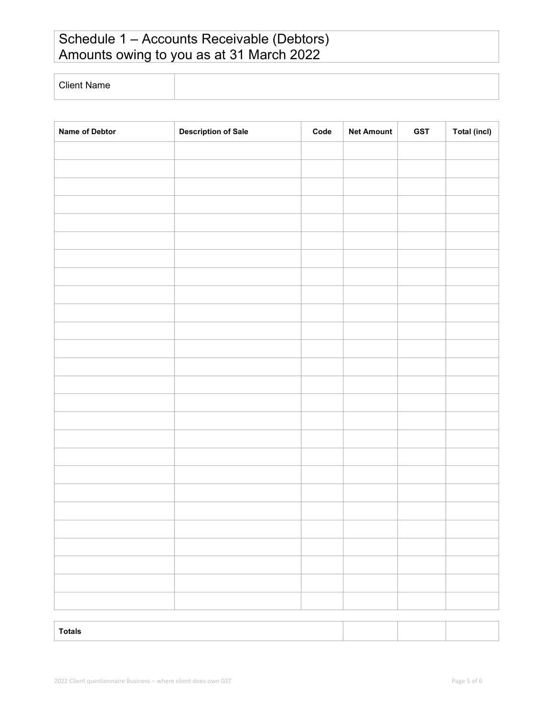# Schedule 1 – Accounts Receivable (Debtors) Amounts owing to you as at 31 March 2022

Client Name

| Name of Debtor | <b>Description of Sale</b> | $\mathsf{Code}$ | <b>Net Amount</b> | <b>GST</b> | <b>Total (incl)</b> |
|----------------|----------------------------|-----------------|-------------------|------------|---------------------|
|                |                            |                 |                   |            |                     |
|                |                            |                 |                   |            |                     |
|                |                            |                 |                   |            |                     |
|                |                            |                 |                   |            |                     |
|                |                            |                 |                   |            |                     |
|                |                            |                 |                   |            |                     |
|                |                            |                 |                   |            |                     |
|                |                            |                 |                   |            |                     |
|                |                            |                 |                   |            |                     |
|                |                            |                 |                   |            |                     |
|                |                            |                 |                   |            |                     |
|                |                            |                 |                   |            |                     |
|                |                            |                 |                   |            |                     |
|                |                            |                 |                   |            |                     |
|                |                            |                 |                   |            |                     |
|                |                            |                 |                   |            |                     |
|                |                            |                 |                   |            |                     |
|                |                            |                 |                   |            |                     |
|                |                            |                 |                   |            |                     |
|                |                            |                 |                   |            |                     |
|                |                            |                 |                   |            |                     |
|                |                            |                 |                   |            |                     |
|                |                            |                 |                   |            |                     |
|                |                            |                 |                   |            |                     |
|                |                            |                 |                   |            |                     |
|                |                            |                 |                   |            |                     |
| <b>Totals</b>  |                            |                 |                   |            |                     |